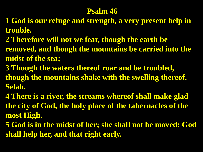#### **Psalm 46**

- **1 God is our refuge and strength, a very present help in trouble.**
- **2 Therefore will not we fear, though the earth be removed, and though the mountains be carried into the midst of the sea;**
- **3 Though the waters thereof roar and be troubled, though the mountains shake with the swelling thereof. Selah.**
- **4 There is a river, the streams whereof shall make glad the city of God, the holy place of the tabernacles of the most High.**
- **5 God is in the midst of her; she shall not be moved: God shall help her, and that right early.**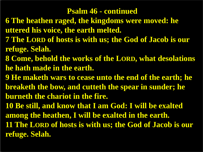#### **Psalm 46 - continued**

- **6 The heathen raged, the kingdoms were moved: he uttered his voice, the earth melted.**
- **7 The LORD of hosts is with us; the God of Jacob is our refuge. Selah.**
- **8 Come, behold the works of the LORD, what desolations he hath made in the earth.**
- **9 He maketh wars to cease unto the end of the earth; he breaketh the bow, and cutteth the spear in sunder; he burneth the chariot in the fire.**
- **10 Be still, and know that I am God: I will be exalted among the heathen, I will be exalted in the earth. 11 The LORD of hosts is with us; the God of Jacob is our refuge. Selah.**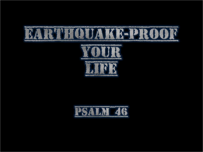



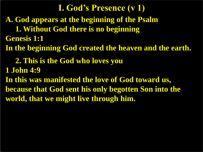**A. God appears at the beginning of the Psalm 1. Without God there is no beginning Genesis 1:1 In the beginning God created the heaven and the earth. 2. This is the God who loves you 1 John 4:9 In this was manifested the love of God toward us, because that God sent his only begotten Son into the world, that we might live through him. I. God's Presence (v 1)**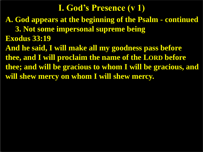**A. God appears at the beginning of the Psalm - continued**

 **3. Not some impersonal supreme being Exodus 33:19**

**And he said, I will make all my goodness pass before thee, and I will proclaim the name of the LORD before thee; and will be gracious to whom I will be gracious, and will shew mercy on whom I will shew mercy.**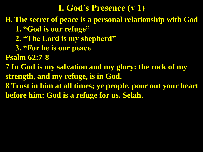**B. The secret of peace is a personal relationship with God**

- **1. "God is our refuge"**
- **2. "The Lord is my shepherd"**
- **3. "For he is our peace**

**Psalm 62:7-8**

**7 In God is my salvation and my glory: the rock of my strength, and my refuge, is in God.**

**8 Trust in him at all times; ye people, pour out your heart before him: God is a refuge for us. Selah.**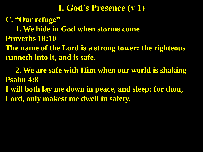**C. "Our refuge"**

 **1. We hide in God when storms come**

**Proverbs 18:10**

**The name of the Lord is a strong tower: the righteous runneth into it, and is safe.**

 **2. We are safe with Him when our world is shaking Psalm 4:8 I will both lay me down in peace, and sleep: for thou, Lord, only makest me dwell in safety.**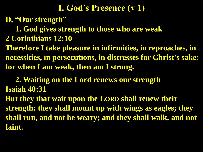**D. "Our strength"**

 **1. God gives strength to those who are weak**

**2 Corinthians 12:10**

**Therefore I take pleasure in infirmities, in reproaches, in necessities, in persecutions, in distresses for Christ's sake: for when I am weak, then am I strong.**

 **2. Waiting on the Lord renews our strength Isaiah 40:31 But they that wait upon the LORD shall renew their strength; they shall mount up with wings as eagles; they shall run, and not be weary; and they shall walk, and not faint.**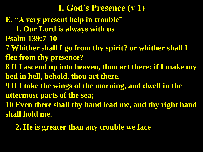**E. "A very present help in trouble" 1. Our Lord is always with us Psalm 139:7-10 7 Whither shall I go from thy spirit? or whither shall I flee from thy presence? 8 If I ascend up into heaven, thou art there: if I make my bed in hell, behold, thou art there. 9 If I take the wings of the morning, and dwell in the uttermost parts of the sea; 10 Even there shall thy hand lead me, and thy right hand shall hold me. I. God's Presence (v 1)**

 **2. He is greater than any trouble we face**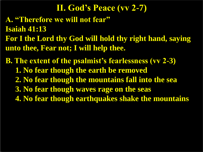**A. "Therefore we will not fear" Isaiah 41:13 For I the Lord thy God will hold thy right hand, saying unto thee, Fear not; I will help thee. II. God's Peace (vv 2-7)**

**B. The extent of the psalmist's fearlessness (vv 2-3) 1. No fear though the earth be removed 2. No fear though the mountains fall into the sea 3. No fear though waves rage on the seas 4. No fear though earthquakes shake the mountains**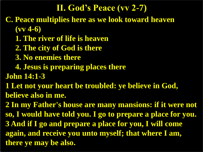### **II. God's Peace (vv 2-7)**

- **C. Peace multiplies here as we look toward heaven (vv 4-6)**
	- **1. The river of life is heaven**
	- **2. The city of God is there**
	- **3. No enemies there**
	- **4. Jesus is preparing places there**
- **John 14:1-3**
- **1 Let not your heart be troubled: ye believe in God, believe also in me.**
- **2 In my Father's house are many mansions: if it were not so, I would have told you. I go to prepare a place for you. 3 And if I go and prepare a place for you, I will come again, and receive you unto myself; that where I am, there ye may be also.**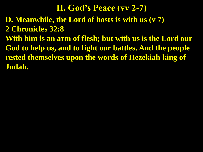**D. Meanwhile, the Lord of hosts is with us (v 7) 2 Chronicles 32:8 With him is an arm of flesh; but with us is the Lord our God to help us, and to fight our battles. And the people rested themselves upon the words of Hezekiah king of Judah. II. God's Peace (vv 2-7)**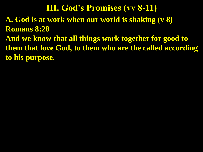**A. God is at work when our world is shaking (v 8) Romans 8:28 And we know that all things work together for good to them that love God, to them who are the called according to his purpose. III. God's Promises (vv 8-11)**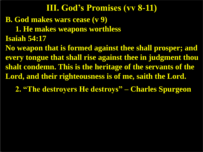# **B. God makes wars cease (v 9) 1. He makes weapons worthless Isaiah 54:17 No weapon that is formed against thee shall prosper; and every tongue that shall rise against thee in judgment thou shalt condemn. This is the heritage of the servants of the Lord, and their righteousness is of me, saith the Lord. 2. "The destroyers He destroys" – Charles Spurgeon III. God's Promises (vv 8-11)**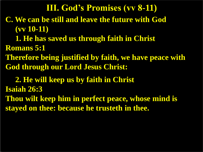**C. We can be still and leave the future with God (vv 10-11) 1. He has saved us through faith in Christ Romans 5:1 Therefore being justified by faith, we have peace with God through our Lord Jesus Christ: III. God's Promises (vv 8-11)**

 **2. He will keep us by faith in Christ Isaiah 26:3 Thou wilt keep him in perfect peace, whose mind is stayed on thee: because he trusteth in thee.**